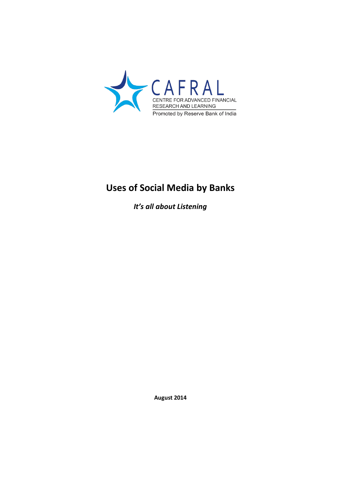

# **Uses of Social Media by Banks**

*It's all about Listening*

**August 2014**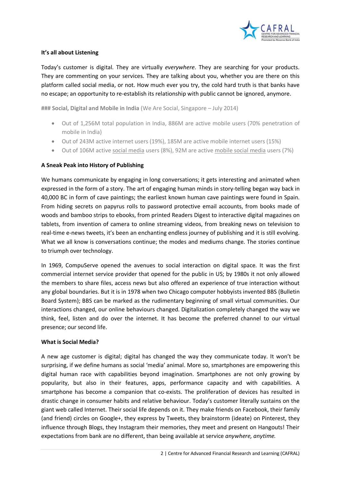

# **It's all about Listening**

Today's customer is digital. They are virtually *everywhere*. They are searching for your products. They are commenting on your services. They are talking about you, whether you are there on this platform called social media, or not. How much ever you try, the cold hard truth is that banks have no escape; an opportunity to re-establish its relationship with public cannot be ignored, anymore.

**### Social, Digital and Mobile in India** (We Are Social, Singapore – July 2014)

- Out of 1,256M total population in India, 886M are active mobile users (70% penetration of mobile in India)
- Out of 243M active internet users (19%), 185M are active mobile internet users (15%)
- Out of 106M active social media users (8%), 92M are active mobile social media users (7%)

# **A Sneak Peak into History of Publishing**

We humans communicate by engaging in long conversations; it gets interesting and animated when expressed in the form of a story. The art of engaging human minds in story-telling began way back in 40,000 BC in form of cave paintings; the earliest known human cave paintings were found in Spain. From hiding secrets on papyrus rolls to password protective email accounts, from books made of woods and bamboo strips to ebooks, from printed Readers Digest to interactive digital magazines on tablets, from invention of camera to online streaming videos, from breaking news on television to real-time e-news tweets, it's been an enchanting endless journey of publishing and it is still evolving. What we all know is conversations continue; the modes and mediums change. The stories continue to triumph over technology.

In 1969, CompuServe opened the avenues to social interaction on digital space. It was the first commercial internet service provider that opened for the public in US; by 1980s it not only allowed the members to share files, access news but also offered an experience of true interaction without any global boundaries. But it is in 1978 when two Chicago computer hobbyists invented BBS (Bulletin Board System); BBS can be marked as the rudimentary beginning of small virtual communities. Our interactions changed, our online behaviours changed. Digitalization completely changed the way we think, feel, listen and do over the internet. It has become the preferred channel to our virtual presence; our second life.

## **What is Social Media?**

A new age customer is digital; digital has changed the way they communicate today. It won't be surprising, if we define humans as social 'media' animal. More so, smartphones are empowering this digital human race with capabilities beyond imagination. Smartphones are not only growing by popularity, but also in their features, apps, performance capacity and with capabilities. A smartphone has become a companion that co-exists. The proliferation of devices has resulted in drastic change in consumer habits and relative behaviour. Today's customer literally sustains on the giant web called Internet. Their social life depends on it. They make friends on Facebook, their family (and friend) circles on Google+, they express by Tweets, they brainstorm (ideate) on Pinterest, they influence through Blogs, they Instagram their memories, they meet and present on Hangouts! Their expectations from bank are no different, than being available at service *anywhere, anytime.*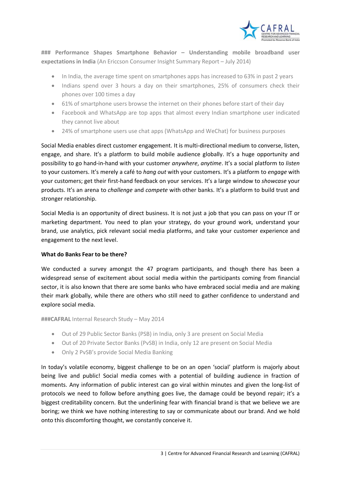

**### Performance Shapes Smartphone Behavior – Understanding mobile broadband user expectations in India** (An Ericcson Consumer Insight Summary Report – July 2014)

- In India, the average time spent on smartphones apps has increased to 63% in past 2 years
- Indians spend over 3 hours a day on their smartphones, 25% of consumers check their phones over 100 times a day
- 61% of smartphone users browse the internet on their phones before start of their day
- Facebook and WhatsApp are top apps that almost every Indian smartphone user indicated they cannot live about
- 24% of smartphone users use chat apps (WhatsApp and WeChat) for business purposes

Social Media enables direct customer engagement. It is multi-directional medium to converse, listen, engage, and share. It's a platform to build mobile audience globally. It's a huge opportunity and possibility to go hand-in-hand with your customer *anywhere*, *anytime*. It's a social platform to *listen* to your customers. It's merely a café to *hang out* with your customers. It's a platform to *engage* with your customers; get their first-hand feedback on your services. It's a large window to *showcase* your products. It's an arena to *challenge* and *compete* with other banks. It's a platform to build trust and stronger relationship.

Social Media is an opportunity of direct business. It is not just a job that you can pass on your IT or marketing department. You need to plan your strategy, do your ground work, understand your brand, use analytics, pick relevant social media platforms, and take your customer experience and engagement to the next level.

## **What do Banks Fear to be there?**

We conducted a survey amongst the 47 program participants, and though there has been a widespread sense of excitement about social media within the participants coming from financial sector, it is also known that there are some banks who have embraced social media and are making their mark globally, while there are others who still need to gather confidence to understand and explore social media.

#### **###CAFRAL** Internal Research Study – May 2014

- Out of 29 Public Sector Banks (PSB) in India, only 3 are present on Social Media
- Out of 20 Private Sector Banks (PvSB) in India, only 12 are present on Social Media
- Only 2 PvSB's provide Social Media Banking

In today's volatile economy, biggest challenge to be on an open 'social' platform is majorly about being live and public! Social media comes with a potential of building audience in fraction of moments. Any information of public interest can go viral within minutes and given the long-list of protocols we need to follow before anything goes live, the damage could be beyond repair; it's a biggest creditability concern. But the underlining fear with financial brand is that we believe we are boring; we think we have nothing interesting to say or communicate about our brand. And we hold onto this discomforting thought, we constantly conceive it.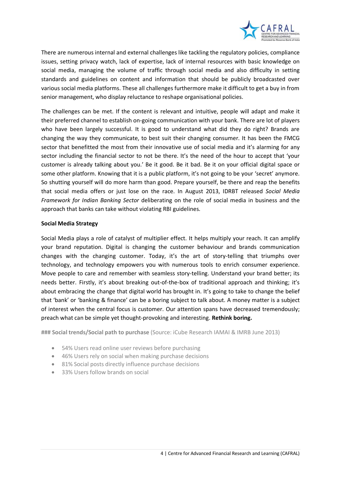

There are numerous internal and external challenges like tackling the regulatory policies, compliance issues, setting privacy watch, lack of expertise, lack of internal resources with basic knowledge on social media, managing the volume of traffic through social media and also difficulty in setting standards and guidelines on content and information that should be publicly broadcasted over various social media platforms. These all challenges furthermore make it difficult to get a buy in from senior management, who display reluctance to reshape organisational policies.

The challenges can be met. If the content is relevant and intuitive, people will adapt and make it their preferred channel to establish on-going communication with your bank. There are lot of players who have been largely successful. It is good to understand what did they do right? Brands are changing the way they communicate, to best suit their changing consumer. It has been the FMCG sector that benefitted the most from their innovative use of social media and it's alarming for any sector including the financial sector to not be there. It's the need of the hour to accept that 'your customer is already talking about you.' Be it good. Be it bad. Be it on your official digital space or some other platform. Knowing that it is a public platform, it's not going to be your 'secret' anymore. So shutting yourself will do more harm than good. Prepare yourself, be there and reap the benefits that social media offers or just lose on the race. In August 2013, IDRBT released *Social Media Framework for Indian Banking Sector* deliberating on the role of social media in business and the approach that banks can take without violating RBI guidelines.

# **Social Media Strategy**

Social Media plays a role of catalyst of multiplier effect. It helps multiply your reach. It can amplify your brand reputation. Digital is changing the customer behaviour and brands communication changes with the changing customer. Today, it's the art of story-telling that triumphs over technology, and technology empowers you with numerous tools to enrich consumer experience. Move people to care and remember with seamless story-telling. Understand your brand better; its needs better. Firstly, it's about breaking out-of-the-box of traditional approach and thinking; it's about embracing the change that digital world has brought in. It's going to take to change the belief that 'bank' or 'banking & finance' can be a boring subject to talk about. A money matter is a subject of interest when the central focus is customer. Our attention spans have decreased tremendously; preach what can be simple yet thought-provoking and interesting. **Rethink boring.**

**### Social trends/Social path to purchase** (Source: iCube Research IAMAI & IMRB June 2013)

- 54% Users read online user reviews before purchasing
- 46% Users rely on social when making purchase decisions
- 81% Social posts directly influence purchase decisions
- 33% Users follow brands on social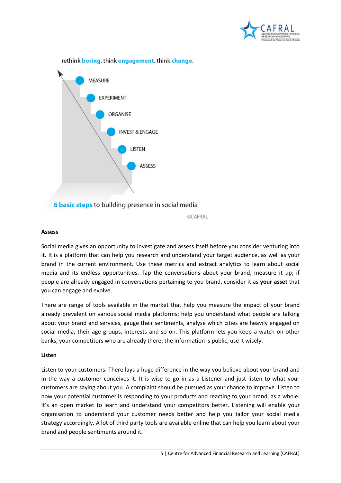

rethink boring, think engagement, think change.



©CAFRAL

## **Assess**

Social media gives an opportunity to investigate and assess itself before you consider venturing into it. It is a platform that can help you research and understand your target audience, as well as your brand in the current environment. Use these metrics and extract analytics to learn about social media and its endless opportunities. Tap the conversations about your brand, measure it up; if people are already engaged in conversations pertaining to you brand, consider it as **your asset** that you can engage and evolve.

There are range of tools available in the market that help you measure the impact of your brand already prevalent on various social media platforms; help you understand what people are talking about your brand and services, gauge their sentiments, analyse which cities are heavily engaged on social media, their age groups, interests and so on. This platform lets you keep a watch on other banks, your competitors who are already there; the information is public, use it wisely.

## **Listen**

Listen to your customers. There lays a huge difference in the way you believe about your brand and in the way a customer conceives it. It is wise to go in as a Listener and just listen to what your customers are saying about you. A complaint should be pursued as your chance to improve. Listen to how your potential customer is responding to your products and reacting to your brand, as a whole. It's an open market to learn and understand your competitors better. Listening will enable your organisation to understand your customer needs better and help you tailor your social media strategy accordingly. A lot of third party tools are available online that can help you learn about your brand and people sentiments around it.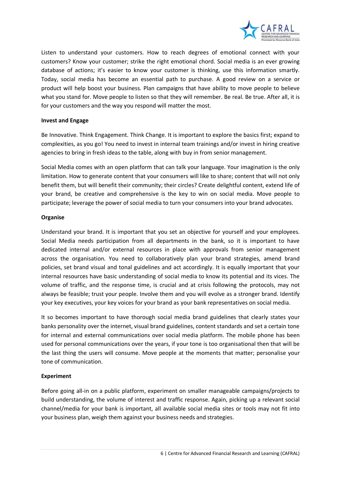

Listen to understand your customers. How to reach degrees of emotional connect with your customers? Know your customer; strike the right emotional chord. Social media is an ever growing database of actions; it's easier to know your customer is thinking, use this information smartly. Today, social media has become an essential path to purchase. A good review on a service or product will help boost your business. Plan campaigns that have ability to move people to believe what you stand for. Move people to listen so that they will remember. Be real. Be true. After all, it is for your customers and the way you respond will matter the most.

## **Invest and Engage**

Be Innovative. Think Engagement. Think Change. It is important to explore the basics first; expand to complexities, as you go! You need to invest in internal team trainings and/or invest in hiring creative agencies to bring in fresh ideas to the table, along with buy in from senior management.

Social Media comes with an open platform that can talk your language. Your imagination is the only limitation. How to generate content that your consumers will like to share; content that will not only benefit them, but will benefit their community; their circles? Create delightful content, extend life of your brand, be creative and comprehensive is the key to win on social media. Move people to participate; leverage the power of social media to turn your consumers into your brand advocates.

# **Organise**

Understand your brand. It is important that you set an objective for yourself and your employees. Social Media needs participation from all departments in the bank, so it is important to have dedicated internal and/or external resources in place with approvals from senior management across the organisation. You need to collaboratively plan your brand strategies, amend brand policies, set brand visual and tonal guidelines and act accordingly. It is equally important that your internal resources have basic understanding of social media to know its potential and its vices. The volume of traffic, and the response time, is crucial and at crisis following the protocols, may not always be feasible; trust your people. Involve them and you will evolve as a stronger brand. Identify your key executives, your key voices for your brand as your bank representatives on social media.

It so becomes important to have thorough social media brand guidelines that clearly states your banks personality over the internet, visual brand guidelines, content standards and set a certain tone for internal and external communications over social media platform. The mobile phone has been used for personal communications over the years, if your tone is too organisational then that will be the last thing the users will consume. Move people at the moments that matter; personalise your tone of communication.

# **Experiment**

Before going all-in on a public platform, experiment on smaller manageable campaigns/projects to build understanding, the volume of interest and traffic response. Again, picking up a relevant social channel/media for your bank is important, all available social media sites or tools may not fit into your business plan, weigh them against your business needs and strategies.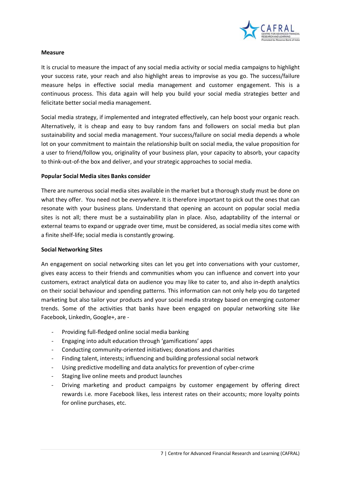

## **Measure**

It is crucial to measure the impact of any social media activity or social media campaigns to highlight your success rate, your reach and also highlight areas to improvise as you go. The success/failure measure helps in effective social media management and customer engagement. This is a continuous process. This data again will help you build your social media strategies better and felicitate better social media management.

Social media strategy, if implemented and integrated effectively, can help boost your organic reach. Alternatively, it is cheap and easy to buy random fans and followers on social media but plan sustainability and social media management. Your success/failure on social media depends a whole lot on your commitment to maintain the relationship built on social media, the value proposition for a user to friend/follow you, originality of your business plan, your capacity to absorb, your capacity to think-out-of-the box and deliver, and your strategic approaches to social media.

# **Popular Social Media sites Banks consider**

There are numerous social media sites available in the market but a thorough study must be done on what they offer. You need not be *everywhere*. It is therefore important to pick out the ones that can resonate with your business plans. Understand that opening an account on popular social media sites is not all; there must be a sustainability plan in place. Also, adaptability of the internal or external teams to expand or upgrade over time, must be considered, as social media sites come with a finite shelf-life; social media is constantly growing.

## **Social Networking Sites**

An engagement on social networking sites can let you get into conversations with your customer, gives easy access to their friends and communities whom you can influence and convert into your customers, extract analytical data on audience you may like to cater to, and also in-depth analytics on their social behaviour and spending patterns. This information can not only help you do targeted marketing but also tailor your products and your social media strategy based on emerging customer trends. Some of the activities that banks have been engaged on popular networking site like Facebook, LinkedIn, Google+, are -

- Providing full-fledged online social media banking
- Engaging into adult education through 'gamifications' apps
- Conducting community-oriented initiatives; donations and charities
- Finding talent, interests; influencing and building professional social network
- Using predictive modelling and data analytics for prevention of cyber-crime
- Staging live online meets and product launches
- Driving marketing and product campaigns by customer engagement by offering direct rewards i.e. more Facebook likes, less interest rates on their accounts; more loyalty points for online purchases, etc.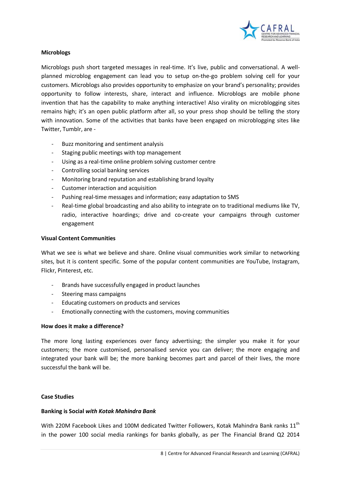

## **Microblogs**

Microblogs push short targeted messages in real-time. It's live, public and conversational. A wellplanned microblog engagement can lead you to setup on-the-go problem solving cell for your customers. Microblogs also provides opportunity to emphasize on your brand's personality; provides opportunity to follow interests, share, interact and influence. Microblogs are mobile phone invention that has the capability to make anything interactive! Also virality on microblogging sites remains high; it's an open public platform after all, so your press shop should be telling the story with innovation. Some of the activities that banks have been engaged on microblogging sites like Twitter, Tumblr, are -

- Buzz monitoring and sentiment analysis
- Staging public meetings with top management
- Using as a real-time online problem solving customer centre
- Controlling social banking services
- Monitoring brand reputation and establishing brand loyalty
- Customer interaction and acquisition
- Pushing real-time messages and information; easy adaptation to SMS
- Real-time global broadcasting and also ability to integrate on to traditional mediums like TV, radio, interactive hoardings; drive and co-create your campaigns through customer engagement

#### **Visual Content Communities**

What we see is what we believe and share. Online visual communities work similar to networking sites, but it is content specific. Some of the popular content communities are YouTube, Instagram, Flickr, Pinterest, etc.

- Brands have successfully engaged in product launches
- Steering mass campaigns
- Educating customers on products and services
- Emotionally connecting with the customers, moving communities

## **How does it make a difference?**

The more long lasting experiences over fancy advertising; the simpler you make it for your customers; the more customised, personalised service you can deliver; the more engaging and integrated your bank will be; the more banking becomes part and parcel of their lives, the more successful the bank will be.

## **Case Studies**

## **Banking is Social** *with Kotak Mahindra Bank*

With 220M Facebook Likes and 100M dedicated Twitter Followers, Kotak Mahindra Bank ranks 11<sup>th</sup> in the power 100 social media rankings for banks globally, as per The Financial Brand Q2 2014